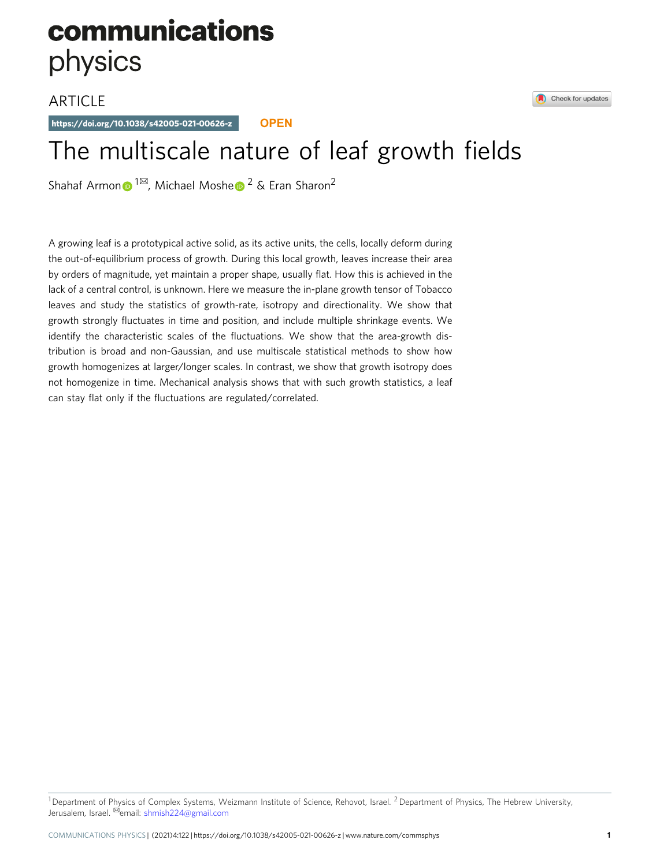# communications physics

# **ARTICLE**

https://doi.org/10.1038/s42005-021-00626-z **OPEN**

# The multiscale nature of leaf growth fields

Shahaf Armo[n](http://orcid.org/0000-0002-2136-3527)  $\bullet$  $\bullet$  $\bullet$ <sup>[1](http://orcid.org/0000-0002-2136-3527)⊠</sup>, Michael Moshe  $\bullet$ <sup>2</sup> & Eran Sharon<sup>2</sup>

A growing leaf is a prototypical active solid, as its active units, the cells, locally deform during the out-of-equilibrium process of growth. During this local growth, leaves increase their area by orders of magnitude, yet maintain a proper shape, usually flat. How this is achieved in the lack of a central control, is unknown. Here we measure the in-plane growth tensor of Tobacco leaves and study the statistics of growth-rate, isotropy and directionality. We show that growth strongly fluctuates in time and position, and include multiple shrinkage events. We identify the characteristic scales of the fluctuations. We show that the area-growth distribution is broad and non-Gaussian, and use multiscale statistical methods to show how growth homogenizes at larger/longer scales. In contrast, we show that growth isotropy does not homogenize in time. Mechanical analysis shows that with such growth statistics, a leaf can stay flat only if the fluctuations are regulated/correlated.



<sup>&</sup>lt;sup>1</sup> Department o[f](mailto:shmish224@gmail.com) Physics of [Complex](mailto:shmish224@gmail.com) [Systems,](mailto:shmish224@gmail.com) [We](mailto:shmish224@gmail.com)izmann Institute of Science, Rehovot, Israel. <sup>2</sup> Department of Physics, The Hebrew University, Jerusalem, Israel. <sup>⊠</sup>email: shmish224@gmail.com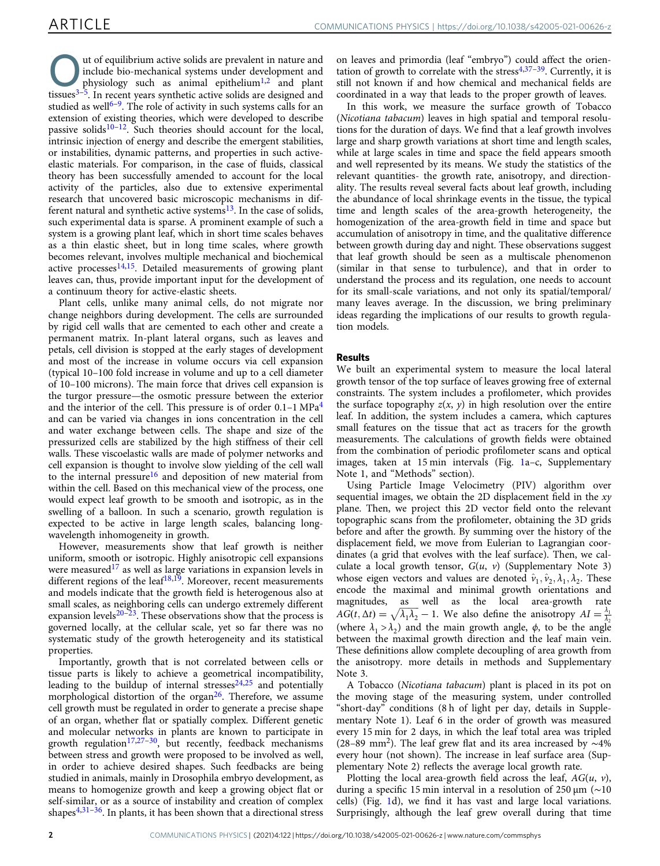Out of equilibrium active solids are prevalent in nature and<br>include bio-mechanical systems under development and<br>physiology such as animal epithelium<sup>1,2</sup> and plant<br>tissues<sup>3-5</sup> in plant include bio-mechanical systems under development and physiology such as animal epithelium<sup>[1,2](#page-5-0)</sup> and plant tissues $3-\overline{5}$  $3-\overline{5}$  $3-\overline{5}$  $3-\overline{5}$ . In recent years synthetic active solids are designed and studied as well<sup>[6](#page-5-0)–9</sup>. The role of activity in such systems calls for an extension of existing theories, which were developed to describe passive solids<sup>[10](#page-5-0)–[12](#page-5-0)</sup>. Such theories should account for the local, intrinsic injection of energy and describe the emergent stabilities, or instabilities, dynamic patterns, and properties in such activeelastic materials. For comparison, in the case of fluids, classical theory has been successfully amended to account for the local activity of the particles, also due to extensive experimental research that uncovered basic microscopic mechanisms in different natural and synthetic active systems $^{13}$  $^{13}$  $^{13}$ . In the case of solids, such experimental data is sparse. A prominent example of such a system is a growing plant leaf, which in short time scales behaves as a thin elastic sheet, but in long time scales, where growth becomes relevant, involves multiple mechanical and biochemical active processes $14,15$ . Detailed measurements of growing plant leaves can, thus, provide important input for the development of a continuum theory for active-elastic sheets.

Plant cells, unlike many animal cells, do not migrate nor change neighbors during development. The cells are surrounded by rigid cell walls that are cemented to each other and create a permanent matrix. In-plant lateral organs, such as leaves and petals, cell division is stopped at the early stages of development and most of the increase in volume occurs via cell expansion (typical 10–100 fold increase in volume and up to a cell diameter of 10–100 microns). The main force that drives cell expansion is the turgor pressure—the osmotic pressure between the exterior and the interior of the cell. This pressure is of order  $0.1-1 \text{ MPa}^4$ and can be varied via changes in ions concentration in the cell and water exchange between cells. The shape and size of the pressurized cells are stabilized by the high stiffness of their cell walls. These viscoelastic walls are made of polymer networks and cell expansion is thought to involve slow yielding of the cell wall to the internal pressure<sup>[16](#page-5-0)</sup> and deposition of new material from within the cell. Based on this mechanical view of the process, one would expect leaf growth to be smooth and isotropic, as in the swelling of a balloon. In such a scenario, growth regulation is expected to be active in large length scales, balancing longwavelength inhomogeneity in growth.

However, measurements show that leaf growth is neither uniform, smooth or isotropic. Highly anisotropic cell expansions were measured<sup>[17](#page-5-0)</sup> as well as large variations in expansion levels in different regions of the leaf<sup>18,19</sup>. Moreover, recent measurements and models indicate that the growth field is heterogenous also at small scales, as neighboring cells can undergo extremely different expansion levels $20-23$  $20-23$  $20-23$ . These observations show that the process is governed locally, at the cellular scale, yet so far there was no systematic study of the growth heterogeneity and its statistical properties.

Importantly, growth that is not correlated between cells or tissue parts is likely to achieve a geometrical incompatibility, leading to the buildup of internal stresses $24,25$  $24,25$  $24,25$  and potentially morphological distortion of the organ<sup>[26](#page-5-0)</sup>. Therefore, we assume cell growth must be regulated in order to generate a precise shape of an organ, whether flat or spatially complex. Different genetic and molecular networks in plants are known to participate in growth regulation<sup>[17,27](#page-5-0)-30</sup>, but recently, feedback mechanisms between stress and growth were proposed to be involved as well, in order to achieve desired shapes. Such feedbacks are being studied in animals, mainly in Drosophila embryo development, as means to homogenize growth and keep a growing object flat or self-similar, or as a source of instability and creation of complex shapes $4,31-36$  $4,31-36$  $4,31-36$  $4,31-36$  $4,31-36$ . In plants, it has been shown that a directional stress

on leaves and primordia (leaf "embryo") could affect the orientation of growth to correlate with the stress $4,37-39$  $4,37-39$  $4,37-39$ . Currently, it is still not known if and how chemical and mechanical fields are coordinated in a way that leads to the proper growth of leaves.

In this work, we measure the surface growth of Tobacco (Nicotiana tabacum) leaves in high spatial and temporal resolutions for the duration of days. We find that a leaf growth involves large and sharp growth variations at short time and length scales, while at large scales in time and space the field appears smooth and well represented by its means. We study the statistics of the relevant quantities- the growth rate, anisotropy, and directionality. The results reveal several facts about leaf growth, including the abundance of local shrinkage events in the tissue, the typical time and length scales of the area-growth heterogeneity, the homogenization of the area-growth field in time and space but accumulation of anisotropy in time, and the qualitative difference between growth during day and night. These observations suggest that leaf growth should be seen as a multiscale phenomenon (similar in that sense to turbulence), and that in order to understand the process and its regulation, one needs to account for its small-scale variations, and not only its spatial/temporal/ many leaves average. In the discussion, we bring preliminary ideas regarding the implications of our results to growth regulation models.

# Results

We built an experimental system to measure the local lateral growth tensor of the top surface of leaves growing free of external constraints. The system includes a profilometer, which provides the surface topography  $z(x, y)$  in high resolution over the entire leaf. In addition, the system includes a camera, which captures small features on the tissue that act as tracers for the growth measurements. The calculations of growth fields were obtained from the combination of periodic profilometer scans and optical images, taken at 15 min intervals (Fig. [1a](#page-2-0)–c, Supplementary Note 1, and "Methods" section).

Using Particle Image Velocimetry (PIV) algorithm over sequential images, we obtain the 2D displacement field in the  $xy$ plane. Then, we project this 2D vector field onto the relevant topographic scans from the profilometer, obtaining the 3D grids before and after the growth. By summing over the history of the displacement field, we move from Eulerian to Lagrangian coordinates (a grid that evolves with the leaf surface). Then, we calculate a local growth tensor,  $G(u, v)$  (Supplementary Note 3) whose eigen vectors and values are denoted  $\hat{v}_1$ ,  $\hat{v}_2$ ,  $\lambda_1$ ,  $\lambda_2$ . These encode the maximal and minimal growth orientations and magnitudes, as well as the local area-growth rate  $AG(t, \Delta t) = \sqrt{\lambda_1 \lambda_2} - 1$ . We also define the anisotropy  $AI = \frac{\lambda_1}{\lambda_2}$ (where  $\lambda_1 > \lambda_2$ ) and the main growth angle,  $\phi$ , to be the angle between the maximal growth direction and the leaf main vein. These definitions allow complete decoupling of area growth from the anisotropy. more details in methods and Supplementary Note 3.

A Tobacco (Nicotiana tabacum) plant is placed in its pot on the moving stage of the measuring system, under controlled "short-day" conditions (8 h of light per day, details in Supplementary Note 1). Leaf 6 in the order of growth was measured every 15 min for 2 days, in which the leaf total area was tripled (28–89 mm2). The leaf grew flat and its area increased by ∼4% every hour (not shown). The increase in leaf surface area (Supplementary Note 2) reflects the average local growth rate.

Plotting the local area-growth field across the leaf,  $AG(u, v)$ , during a specific 15 min interval in a resolution of 250 μm (∼10 cells) (Fig. [1d](#page-2-0)), we find it has vast and large local variations. Surprisingly, although the leaf grew overall during that time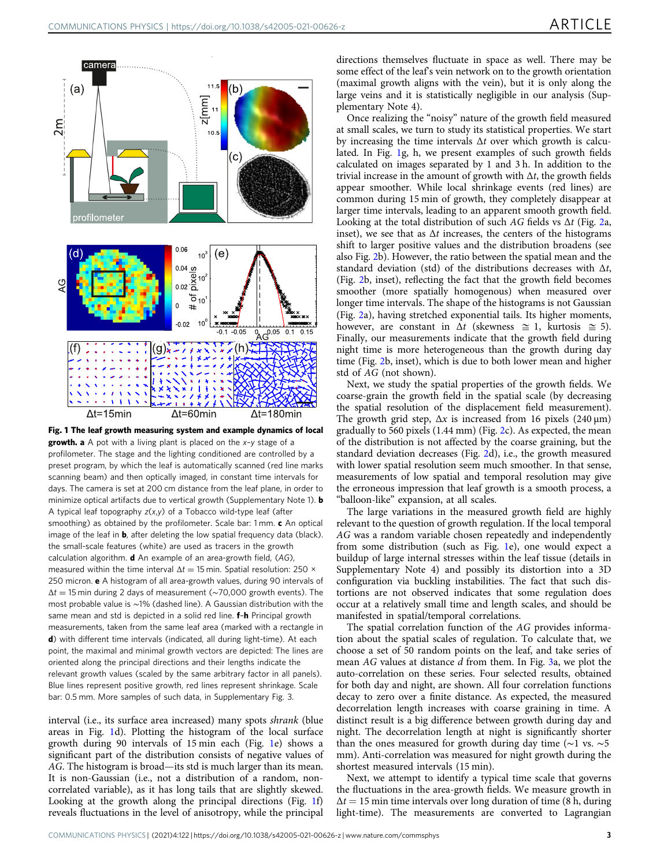<span id="page-2-0"></span>

Fig. 1 The leaf growth measuring system and example dynamics of local growth. a A pot with a living plant is placed on the x-y stage of a profilometer. The stage and the lighting conditioned are controlled by a preset program, by which the leaf is automatically scanned (red line marks scanning beam) and then optically imaged, in constant time intervals for days. The camera is set at 200 cm distance from the leaf plane, in order to minimize optical artifacts due to vertical growth (Supplementary Note 1). **b** A typical leaf topography  $z(x,y)$  of a Tobacco wild-type leaf (after smoothing) as obtained by the profilometer. Scale bar: 1 mm. c An optical image of the leaf in  $\mathbf{b}$ , after deleting the low spatial frequency data (black). the small-scale features (white) are used as tracers in the growth calculation algorithm.  $d$  An example of an area-growth field,  $(AG)$ , measured within the time interval  $\Delta t = 15$  min. Spatial resolution: 250 × 250 micron. e A histogram of all area-growth values, during 90 intervals of  $\Delta t = 15$  min during 2 days of measurement (~70,000 growth events). The most probable value is ∼1% (dashed line). A Gaussian distribution with the same mean and std is depicted in a solid red line. f-h Principal growth measurements, taken from the same leaf area (marked with a rectangle in d) with different time intervals (indicated, all during light-time). At each point, the maximal and minimal growth vectors are depicted: The lines are oriented along the principal directions and their lengths indicate the relevant growth values (scaled by the same arbitrary factor in all panels). Blue lines represent positive growth, red lines represent shrinkage. Scale bar: 0.5 mm. More samples of such data, in Supplementary Fig. 3.

interval (i.e., its surface area increased) many spots shrank (blue areas in Fig. 1d). Plotting the histogram of the local surface growth during 90 intervals of 15 min each (Fig. 1e) shows a significant part of the distribution consists of negative values of AG. The histogram is broad—its std is much larger than its mean. It is non-Gaussian (i.e., not a distribution of a random, noncorrelated variable), as it has long tails that are slightly skewed. Looking at the growth along the principal directions (Fig. 1f) reveals fluctuations in the level of anisotropy, while the principal directions themselves fluctuate in space as well. There may be some effect of the leaf's vein network on to the growth orientation (maximal growth aligns with the vein), but it is only along the large veins and it is statistically negligible in our analysis (Supplementary Note 4).

Once realizing the "noisy" nature of the growth field measured at small scales, we turn to study its statistical properties. We start by increasing the time intervals  $\Delta t$  over which growth is calculated. In Fig. 1g, h, we present examples of such growth fields calculated on images separated by 1 and 3 h. In addition to the trivial increase in the amount of growth with  $\Delta t$ , the growth fields appear smoother. While local shrinkage events (red lines) are common during 15 min of growth, they completely disappear at larger time intervals, leading to an apparent smooth growth field. Looking at the total distribution of such AG fields vs  $\Delta t$  (Fig. [2](#page-3-0)a, inset), we see that as  $\Delta t$  increases, the centers of the histograms shift to larger positive values and the distribution broadens (see also Fig. [2](#page-3-0)b). However, the ratio between the spatial mean and the standard deviation (std) of the distributions decreases with  $\Delta t$ , (Fig. [2b](#page-3-0), inset), reflecting the fact that the growth field becomes smoother (more spatially homogenous) when measured over longer time intervals. The shape of the histograms is not Gaussian (Fig. [2](#page-3-0)a), having stretched exponential tails. Its higher moments, however, are constant in  $\Delta t$  (skewness  $\cong$  1, kurtosis  $\cong$  5). Finally, our measurements indicate that the growth field during night time is more heterogeneous than the growth during day time (Fig. [2](#page-3-0)b, inset), which is due to both lower mean and higher std of AG (not shown).

Next, we study the spatial properties of the growth fields. We coarse-grain the growth field in the spatial scale (by decreasing the spatial resolution of the displacement field measurement). The growth grid step,  $\Delta x$  is increased from 16 pixels (240  $\mu$ m) gradually to 560 pixels (1.44 mm) (Fig. [2c](#page-3-0)). As expected, the mean of the distribution is not affected by the coarse graining, but the standard deviation decreases (Fig. [2](#page-3-0)d), i.e., the growth measured with lower spatial resolution seem much smoother. In that sense, measurements of low spatial and temporal resolution may give the erroneous impression that leaf growth is a smooth process, a "balloon-like" expansion, at all scales.

The large variations in the measured growth field are highly relevant to the question of growth regulation. If the local temporal AG was a random variable chosen repeatedly and independently from some distribution (such as Fig. 1e), one would expect a buildup of large internal stresses within the leaf tissue (details in Supplementary Note 4) and possibly its distortion into a 3D configuration via buckling instabilities. The fact that such distortions are not observed indicates that some regulation does occur at a relatively small time and length scales, and should be manifested in spatial/temporal correlations.

The spatial correlation function of the AG provides information about the spatial scales of regulation. To calculate that, we choose a set of 50 random points on the leaf, and take series of mean AG values at distance d from them. In Fig. [3](#page-3-0)a, we plot the auto-correlation on these series. Four selected results, obtained for both day and night, are shown. All four correlation functions decay to zero over a finite distance. As expected, the measured decorrelation length increases with coarse graining in time. A distinct result is a big difference between growth during day and night. The decorrelation length at night is significantly shorter than the ones measured for growth during day time (∼1 vs. ∼5 mm). Anti-correlation was measured for night growth during the shortest measured intervals (15 min).

Next, we attempt to identify a typical time scale that governs the fluctuations in the area-growth fields. We measure growth in  $\Delta t = 15$  min time intervals over long duration of time (8 h, during light-time). The measurements are converted to Lagrangian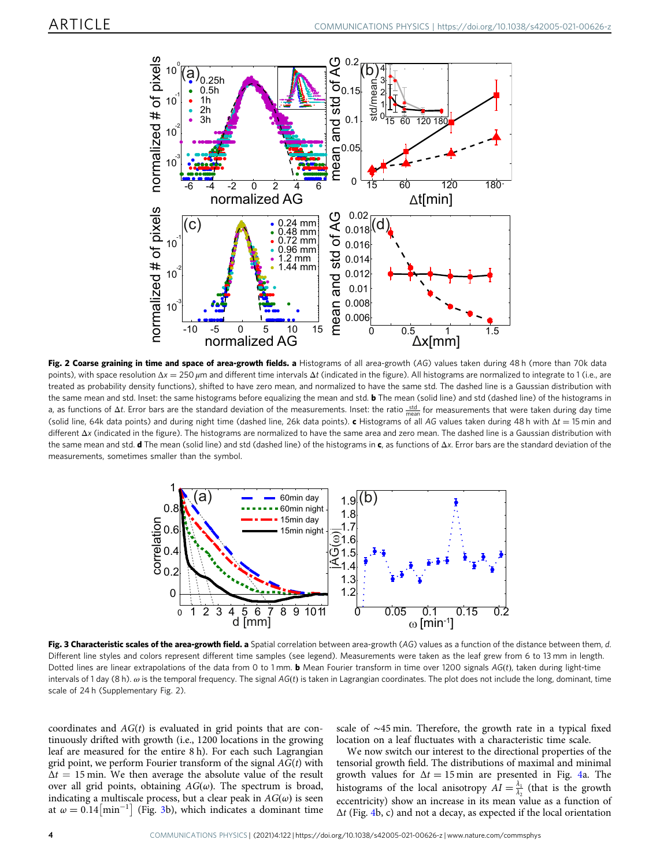<span id="page-3-0"></span>

Fig. 2 Coarse graining in time and space of area-growth fields. a Histograms of all area-growth (AG) values taken during 48 h (more than 70k data points), with space resolution  $Δx = 250 μm$  and different time intervals  $Δt$  (indicated in the figure). All histograms are normalized to integrate to 1 (i.e., are treated as probability density functions), shifted to have zero mean, and normalized to have the same std. The dashed line is a Gaussian distribution with the same mean and std. Inset: the same histograms before equalizing the mean and std. **b** The mean (solid line) and std (dashed line) of the histograms in a, as functions of Δ*t*. Error bars are the standard deviation of the measurements. Inset: the ratio <u>std.</u> for measurements that were taken during day time (solid line, 64k data points) and during night time (dashed line, 26k data points). c Histograms of all AG values taken during 48 h with  $\Delta t = 15$  min and different Δx (indicated in the figure). The histograms are normalized to have the same area and zero mean. The dashed line is a Gaussian distribution with the same mean and std. d The mean (solid line) and std (dashed line) of the histograms in c, as functions of  $\Delta x$ . Error bars are the standard deviation of the measurements, sometimes smaller than the symbol.



Fig. 3 Characteristic scales of the area-growth field. a Spatial correlation between area-growth (AG) values as a function of the distance between them, d. Different line styles and colors represent different time samples (see legend). Measurements were taken as the leaf grew from 6 to 13 mm in length. Dotted lines are linear extrapolations of the data from 0 to 1 mm. **b** Mean Fourier transform in time over 1200 signals  $AG(t)$ , taken during light-time intervals of 1 day (8 h).  $\omega$  is the temporal frequency. The signal AG(t) is taken in Lagrangian coordinates. The plot does not include the long, dominant, time scale of 24 h (Supplementary Fig. 2).

coordinates and  $AG(t)$  is evaluated in grid points that are continuously drifted with growth (i.e., 1200 locations in the growing leaf are measured for the entire 8 h). For each such Lagrangian grid point, we perform Fourier transform of the signal  $AG(t)$  with  $\Delta t = 15$  min. We then average the absolute value of the result over all grid points, obtaining  $AG(\omega)$ . The spectrum is broad, indicating a multiscale process, but a clear peak in  $AG(\omega)$  is seen at  $\omega = 0.14 \left[ \text{min}^{-1} \right]$  (Fig. 3b), which indicates a dominant time

scale of ∼45 min. Therefore, the growth rate in a typical fixed location on a leaf fluctuates with a characteristic time scale.

We now switch our interest to the directional properties of the tensorial growth field. The distributions of maximal and minimal growth values for  $\Delta t = 15$  min are presented in Fig. [4a](#page-4-0). The histograms of the local anisotropy  $AI = \frac{\lambda_1}{\lambda_2}$  (that is the growth eccentricity) show an increase in its mean value as a function of  $\Delta t$  (Fig. [4](#page-4-0)b, c) and not a decay, as expected if the local orientation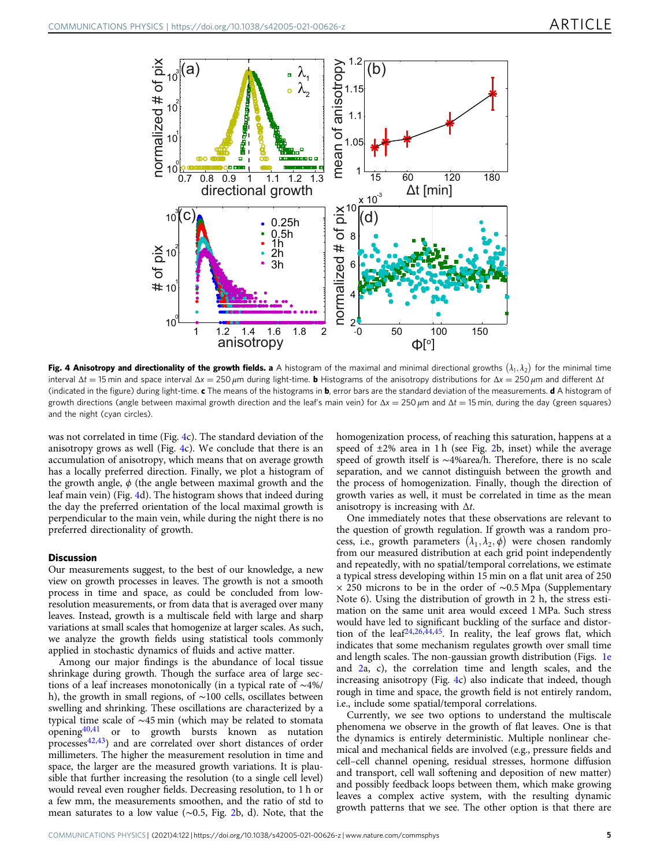<span id="page-4-0"></span>

Fig. 4 Anisotropy and directionality of the growth fields. a A histogram of the maximal and minimal directional growths  $(\lambda_1,\lambda_2)$  for the minimal time interval Δt = 15 min and space interval  $\Delta x = 250 \mu$ m during light-time. **b** Histograms of the anisotropy distributions for  $\Delta x = 250 \mu$ m and different Δt (indicated in the figure) during light-time.  $c$  The means of the histograms in  $b$ , error bars are the standard deviation of the measurements.  $d$  A histogram of growth directions (angle between maximal growth direction and the leaf's main vein) for  $Δx = 250 μm$  and  $Δt = 15 min$ , during the day (green squares) and the night (cyan circles).

was not correlated in time (Fig. 4c). The standard deviation of the anisotropy grows as well (Fig. 4c). We conclude that there is an accumulation of anisotropy, which means that on average growth has a locally preferred direction. Finally, we plot a histogram of the growth angle,  $\phi$  (the angle between maximal growth and the leaf main vein) (Fig. 4d). The histogram shows that indeed during the day the preferred orientation of the local maximal growth is perpendicular to the main vein, while during the night there is no preferred directionality of growth.

#### Discussion

Our measurements suggest, to the best of our knowledge, a new view on growth processes in leaves. The growth is not a smooth process in time and space, as could be concluded from lowresolution measurements, or from data that is averaged over many leaves. Instead, growth is a multiscale field with large and sharp variations at small scales that homogenize at larger scales. As such, we analyze the growth fields using statistical tools commonly applied in stochastic dynamics of fluids and active matter.

Among our major findings is the abundance of local tissue shrinkage during growth. Though the surface area of large sections of a leaf increases monotonically (in a typical rate of ∼4%/ h), the growth in small regions, of ∼100 cells, oscillates between swelling and shrinking. These oscillations are characterized by a typical time scale of ∼45 min (which may be related to stomata openin[g40,41](#page-6-0) or to growth bursts known as nutation processes<sup>[42](#page-6-0),[43](#page-6-0)</sup>) and are correlated over short distances of order millimeters. The higher the measurement resolution in time and space, the larger are the measured growth variations. It is plausible that further increasing the resolution (to a single cell level) would reveal even rougher fields. Decreasing resolution, to 1 h or a few mm, the measurements smoothen, and the ratio of std to mean saturates to a low value (∼0.5, Fig. [2b](#page-3-0), d). Note, that the homogenization process, of reaching this saturation, happens at a speed of ±2% area in 1 h (see Fig. [2b](#page-3-0), inset) while the average speed of growth itself is ∼4%area/h. Therefore, there is no scale separation, and we cannot distinguish between the growth and the process of homogenization. Finally, though the direction of growth varies as well, it must be correlated in time as the mean anisotropy is increasing with  $\Delta t$ .

One immediately notes that these observations are relevant to the question of growth regulation. If growth was a random process, i.e., growth parameters  $(\lambda_1, \lambda_2, \phi)$  were chosen randomly from our measured distribution at each grid point independently and repeatedly, with no spatial/temporal correlations, we estimate a typical stress developing within 15 min on a flat unit area of 250 × 250 microns to be in the order of ∼0.5 Mpa (Supplementary Note 6). Using the distribution of growth in 2 h, the stress estimation on the same unit area would exceed 1 MPa. Such stress would have led to significant buckling of the surface and distortion of the leaf $24,26,44,45$  $24,26,44,45$  $24,26,44,45$  $24,26,44,45$  $24,26,44,45$ . In reality, the leaf grows flat, which indicates that some mechanism regulates growth over small time and length scales. The non-gaussian growth distribution (Figs. [1e](#page-2-0) and [2](#page-3-0)a, c), the correlation time and length scales, and the increasing anisotropy (Fig. 4c) also indicate that indeed, though rough in time and space, the growth field is not entirely random, i.e., include some spatial/temporal correlations.

Currently, we see two options to understand the multiscale phenomena we observe in the growth of flat leaves. One is that the dynamics is entirely deterministic. Multiple nonlinear chemical and mechanical fields are involved (e.g., pressure fields and cell–cell channel opening, residual stresses, hormone diffusion and transport, cell wall softening and deposition of new matter) and possibly feedback loops between them, which make growing leaves a complex active system, with the resulting dynamic growth patterns that we see. The other option is that there are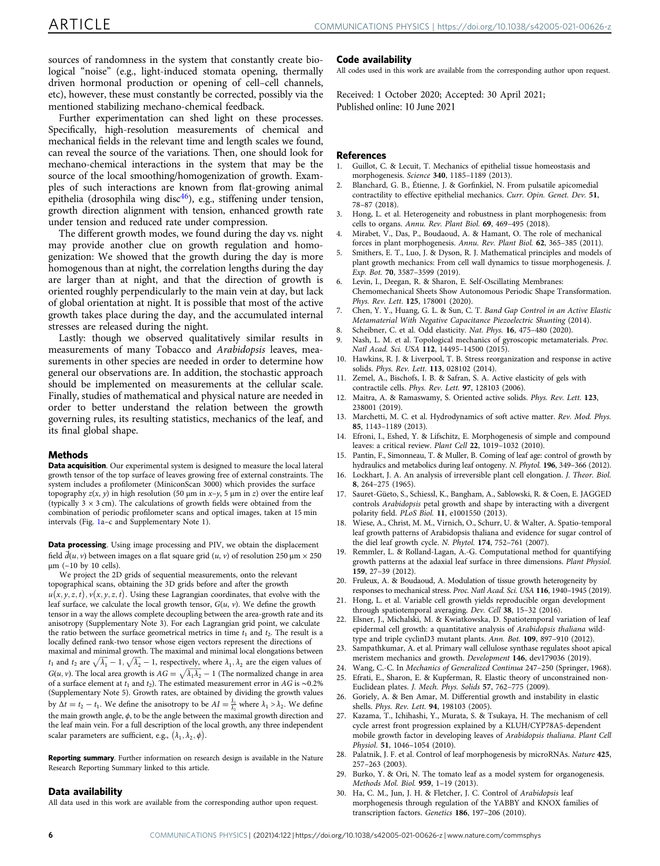<span id="page-5-0"></span>sources of randomness in the system that constantly create biological "noise" (e.g., light-induced stomata opening, thermally driven hormonal production or opening of cell–cell channels, etc), however, these must constantly be corrected, possibly via the mentioned stabilizing mechano-chemical feedback.

Further experimentation can shed light on these processes. Specifically, high-resolution measurements of chemical and mechanical fields in the relevant time and length scales we found, can reveal the source of the variations. Then, one should look for mechano-chemical interactions in the system that may be the source of the local smoothing/homogenization of growth. Examples of such interactions are known from flat-growing animal epithelia (drosophila wing disc $46$ ), e.g., stiffening under tension, growth direction alignment with tension, enhanced growth rate under tension and reduced rate under compression.

The different growth modes, we found during the day vs. night may provide another clue on growth regulation and homogenization: We showed that the growth during the day is more homogenous than at night, the correlation lengths during the day are larger than at night, and that the direction of growth is oriented roughly perpendicularly to the main vein at day, but lack of global orientation at night. It is possible that most of the active growth takes place during the day, and the accumulated internal stresses are released during the night.

Lastly: though we observed qualitatively similar results in measurements of many Tobacco and Arabidopsis leaves, measurements in other species are needed in order to determine how general our observations are. In addition, the stochastic approach should be implemented on measurements at the cellular scale. Finally, studies of mathematical and physical nature are needed in order to better understand the relation between the growth governing rules, its resulting statistics, mechanics of the leaf, and its final global shape.

## Methods

Data acquisition. Our experimental system is designed to measure the local lateral growth tensor of the top surface of leaves growing free of external constraints. The system includes a profilometer (MiniconScan 3000) which provides the surface topography  $z(x, y)$  in high resolution (50 μm in x–y, 5 μm in z) over the entire leaf (typically  $3 \times 3$  cm). The calculations of growth fields were obtained from the combination of periodic profilometer scans and optical images, taken at 15 min intervals (Fig. [1](#page-2-0)a–c and Supplementary Note 1).

Data processing. Using image processing and PIV, we obtain the displacement field  $\vec{d}(u, v)$  between images on a flat square grid  $(u, v)$  of resolution 250  $\mu$ m  $\times$  250 μm (~10 by 10 cells).

We project the 2D grids of sequential measurements, onto the relevant topographical scans, obtaining the 3D grids before and after the growth  $u(x, y, z, t), v(x, y, z, t)$ . Using these Lagrangian coordinates, that evolve with the leaf surface, we calculate the local growth tensor,  $G(u, v)$ . We define the growth tensor in a way the allows complete decoupling between the area-growth rate and its anisotropy (Supplementary Note 3). For each Lagrangian grid point, we calculate the ratio between the surface geometrical metrics in time  $t_1$  and  $t_2$ . The result is a locally defined rank-two tensor whose eigen vectors represent the directions of maximal and minimal growth. The maximal and minimal local elongations between  $t_1$  and  $t_2$  are  $\sqrt{\lambda_1} - 1$ ,  $\sqrt{\lambda_2} - 1$ , respectively, where  $\lambda_1, \lambda_2$  are the eigen values of  $G(u, v)$ . The local area growth is  $AG = \sqrt{\lambda_1 \lambda_2} - 1$  (The normalized change in area of a surface element at  $t_1$  and  $t_2$ ). The estimated measurement error in AG is ~0.2% (Supplementary Note 5). Growth rates, are obtained by dividing the growth values by  $\Delta t = t_2 - t_1$ . We define the anisotropy to be  $AI = \frac{\lambda_1}{\lambda_2}$  where  $\lambda_1 > \lambda_2$ . We define the main growth angle,  $\phi$ , to be the angle between the maximal growth direction and the leaf main vein. For a full description of the local growth, any three independent scalar parameters are sufficient, e.g.,  $(\lambda_1, \lambda_2, \phi)$ .

Reporting summary. Further information on research design is available in the Nature Research Reporting Summary linked to this article.

#### Data availability

All data used in this work are available from the corresponding author upon request.

#### Code availability

All codes used in this work are available from the corresponding author upon request.

Received: 1 October 2020; Accepted: 30 April 2021; Published online: 10 June 2021

#### **References**

- 1. Guillot, C. & Lecuit, T. Mechanics of epithelial tissue homeostasis and morphogenesis. Science 340, 1185–1189 (2013).
- 2. Blanchard, G. B., Étienne, J. & Gorfinkiel, N. From pulsatile apicomedial contractility to effective epithelial mechanics. Curr. Opin. Genet. Dev. 51, 78–87 (2018).
- 3. Hong, L. et al. Heterogeneity and robustness in plant morphogenesis: from cells to organs. Annu. Rev. Plant Biol. 69, 469–495 (2018).
- Mirabet, V., Das, P., Boudaoud, A. & Hamant, O. The role of mechanical forces in plant morphogenesis. Annu. Rev. Plant Biol. 62, 365–385 (2011).
- 5. Smithers, E. T., Luo, J. & Dyson, R. J. Mathematical principles and models of plant growth mechanics: From cell wall dynamics to tissue morphogenesis. J. Exp. Bot. 70, 3587–3599 (2019).
- Levin, I., Deegan, R. & Sharon, E. Self-Oscillating Membranes: Chemomechanical Sheets Show Autonomous Periodic Shape Transformation. Phys. Rev. Lett. 125, 178001 (2020).
- 7. Chen, Y. Y., Huang, G. L. & Sun, C. T. Band Gap Control in an Active Elastic Metamaterial With Negative Capacitance Piezoelectric Shunting (2014).
- 8. Scheibner, C. et al. Odd elasticity. Nat. Phys. 16, 475–480 (2020).
- 9. Nash, L. M. et al. Topological mechanics of gyroscopic metamaterials. Proc. Natl Acad. Sci. USA 112, 14495–14500 (2015).
- 10. Hawkins, R. J. & Liverpool, T. B. Stress reorganization and response in active solids. Phys. Rev. Lett. 113, 028102 (2014).
- Zemel, A., Bischofs, I. B. & Safran, S. A. Active elasticity of gels with contractile cells. Phys. Rev. Lett. 97, 128103 (2006).
- Maitra, A. & Ramaswamy, S. Oriented active solids. Phys. Rev. Lett. 123, 238001 (2019).
- 13. Marchetti, M. C. et al. Hydrodynamics of soft active matter. Rev. Mod. Phys. 85, 1143–1189 (2013).
- 14. Efroni, I., Eshed, Y. & Lifschitz, E. Morphogenesis of simple and compound leaves: a critical review. Plant Cell 22, 1019–1032 (2010).
- Pantin, F., Simonneau, T. & Muller, B. Coming of leaf age: control of growth by hydraulics and metabolics during leaf ontogeny. N. Phytol. 196, 349–366 (2012).
- 16. Lockhart, J. A. An analysis of irreversible plant cell elongation. J. Theor. Biol. 8, 264–275 (1965).
- 17. Sauret-Güeto, S., Schiessl, K., Bangham, A., Sablowski, R. & Coen, E. JAGGED controls Arabidopsis petal growth and shape by interacting with a divergent polarity field. PLoS Biol. 11, e1001550 (2013).
- 18. Wiese, A., Christ, M. M., Virnich, O., Schurr, U. & Walter, A. Spatio-temporal leaf growth patterns of Arabidopsis thaliana and evidence for sugar control of the diel leaf growth cycle. N. Phytol. 174, 752–761 (2007).
- 19. Remmler, L. & Rolland-Lagan, A.-G. Computational method for quantifying growth patterns at the adaxial leaf surface in three dimensions. Plant Physiol. 159, 27–39 (2012).
- 20. Fruleux, A. & Boudaoud, A. Modulation of tissue growth heterogeneity by responses to mechanical stress. Proc. Natl Acad. Sci. USA 116, 1940–1945 (2019).
- 21. Hong, L. et al. Variable cell growth yields reproducible organ development through spatiotemporal averaging. Dev. Cell 38, 15–32 (2016).
- 22. Elsner, J., Michalski, M. & Kwiatkowska, D. Spatiotemporal variation of leaf epidermal cell growth: a quantitative analysis of Arabidopsis thaliana wildtype and triple cyclinD3 mutant plants. Ann. Bot. 109, 897–910 (2012).
- 23. Sampathkumar, A. et al. Primary wall cellulose synthase regulates shoot apical meristem mechanics and growth. Development 146, dev179036 (2019).
- 24. Wang, C.-C. In Mechanics of Generalized Continua 247–250 (Springer, 1968).
- 25. Efrati, E., Sharon, E. & Kupferman, R. Elastic theory of unconstrained non-Euclidean plates. J. Mech. Phys. Solids 57, 762–775 (2009).
- 26. Goriely, A. & Ben Amar, M. Differential growth and instability in elastic shells. Phys. Rev. Lett. 94, 198103 (2005).
- 27. Kazama, T., Ichihashi, Y., Murata, S. & Tsukaya, H. The mechanism of cell cycle arrest front progression explained by a KLUH/CYP78A5-dependent mobile growth factor in developing leaves of Arabidopsis thaliana. Plant Cell Physiol. 51, 1046–1054 (2010).
- 28. Palatnik, J. F. et al. Control of leaf morphogenesis by microRNAs. Nature 425, 257–263 (2003).
- 29. Burko, Y. & Ori, N. The tomato leaf as a model system for organogenesis. Methods Mol. Biol. 959, 1–19 (2013).
- 30. Ha, C. M., Jun, J. H. & Fletcher, J. C. Control of Arabidopsis leaf morphogenesis through regulation of the YABBY and KNOX families of transcription factors. Genetics 186, 197–206 (2010).